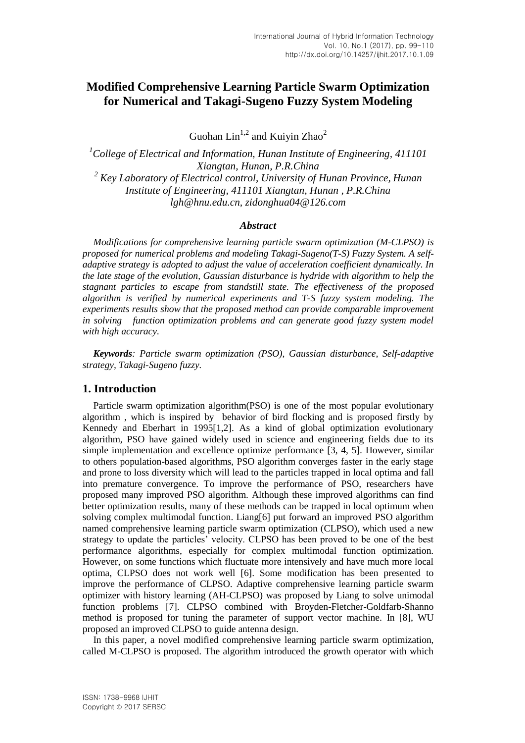# **Modified Comprehensive Learning Particle Swarm Optimization for Numerical and Takagi-Sugeno Fuzzy System Modeling**

Guohan  $\text{Lin}^{1,2}$  and Kuivin Zhao<sup>2</sup>

*<sup>1</sup>College of Electrical and Information, Hunan Institute of Engineering, 411101 Xiangtan, Hunan, P.R.China <sup>2</sup> Key Laboratory of Electrical control, University of Hunan Province, Hunan Institute of Engineering, 411101 Xiangtan, Hunan , P.R.China lgh@hnu.edu.cn, zidonghua04@126.com*

## *Abstract*

*Modifications for comprehensive learning particle swarm optimization (M-CLPSO) is proposed for numerical problems and modeling Takagi-Sugeno(T-S) Fuzzy System. A selfadaptive strategy is adopted to adjust the value of acceleration coefficient dynamically. In the late stage of the evolution, Gaussian disturbance is hydride with algorithm to help the stagnant particles to escape from standstill state. The effectiveness of the proposed algorithm is verified by numerical experiments and T-S fuzzy system modeling. The experiments results show that the proposed method can provide comparable improvement in solving function optimization problems and can generate good fuzzy system model with high accuracy.*

*Keywords: Particle swarm optimization (PSO), Gaussian disturbance, Self-adaptive strategy, Takagi-Sugeno fuzzy.*

## **1. Introduction**

Particle swarm optimization algorithm(PSO) is one of the most popular evolutionary algorithm , which is inspired by behavior of bird flocking and is proposed firstly by Kennedy and Eberhart in 1995[1,2]. As a kind of global optimization evolutionary algorithm, PSO have gained widely used in science and engineering fields due to its simple implementation and excellence optimize performance [3, 4, 5]. However, similar to others population-based algorithms, PSO algorithm converges faster in the early stage and prone to loss diversity which will lead to the particles trapped in local optima and fall into premature convergence. To improve the performance of PSO, researchers have proposed many improved PSO algorithm. Although these improved algorithms can find better optimization results, many of these methods can be trapped in local optimum when solving complex multimodal function. Liang[6] put forward an improved PSO algorithm named comprehensive learning particle swarm optimization (CLPSO), which used a new strategy to update the particles' velocity. CLPSO has been proved to be one of the best performance algorithms, especially for complex multimodal function optimization. However, on some functions which fluctuate more intensively and have much more local optima, CLPSO does not work well [6]. Some modification has been presented to improve the performance of CLPSO. Adaptive comprehensive learning particle swarm optimizer with history learning (AH-CLPSO) was proposed by Liang to solve unimodal function problems [7]. CLPSO combined with Broyden-Fletcher-Goldfarb-Shanno method is proposed for tuning the parameter of support vector machine. In [8], WU proposed an improved CLPSO to guide antenna design.

In this paper, a novel modified comprehensive learning particle swarm optimization, called M-CLPSO is proposed. The algorithm introduced the growth operator with which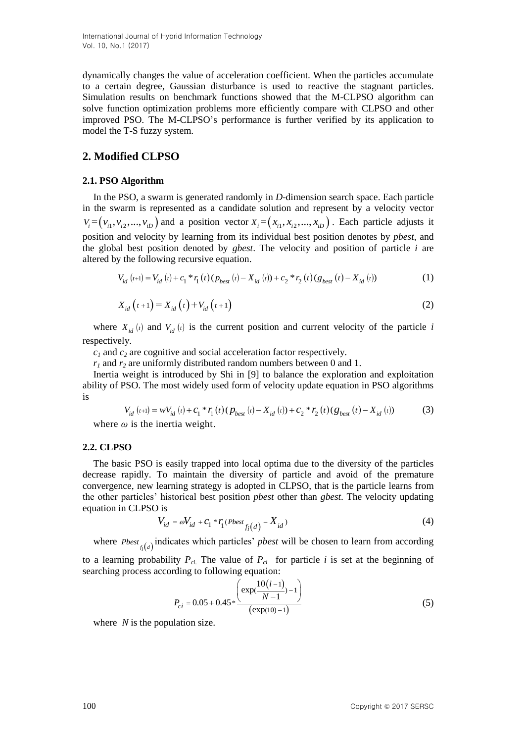dynamically changes the value of acceleration coefficient. When the particles accumulate to a certain degree, Gaussian disturbance is used to reactive the stagnant particles. Simulation results on benchmark functions showed that the M-CLPSO algorithm can solve function optimization problems more efficiently compare with CLPSO and other improved PSO. The M-CLPSO's performance is further verified by its application to model the T-S fuzzy system.

# **2. Modified CLPSO**

## **2.1. PSO Algorithm**

In the PSO, a swarm is generated randomly in *D*-dimension search space. Each particle in the swarm is represented as a candidate solution and represent by a velocity vector  $V_i = (v_{i1}, v_{i2}, ..., v_{iD})$  and a position vector  $X_i = (x_{i1}, x_{i2}, ..., x_{iD})$ . Each particle adjusts it position and velocity by learning from its individual best position denotes by *pbest*, and the global best position denoted by *gbest*. The velocity and position of particle *i* are altered by the following recursive equation. the following recursive equation.<br>  $V_{id} (t+1) = V_{id} (t) + c_1 * r_1(t) (p_{best} (t) - X_{id} (t)) + c_2 * r_2(t) (g_{best} (t) - X_{id} (t))$  (1)

$$
V_{id}(t+1) = V_{id}(t) + c_1 * r_1(t) (p_{best}(t) - X_{id}(t)) + c_2 * r_2(t) (g_{best}(t) - X_{id}(t))
$$
\n(1)

$$
X_{id}(t+1) = X_{id}(t) + V_{id}(t+1)
$$
\n(2)

where  $X_{id}(t)$  and  $V_{id}(t)$  is the current position and current velocity of the particle *i* respectively.

*c<sup>1</sup>* and *c<sup>2</sup>* are cognitive and social acceleration factor respectively.

 $r_1$  and  $r_2$  are uniformly distributed random numbers between 0 and 1.

Inertia weight is introduced by Shi in [9] to balance the exploration and exploitation mertia weight is introduced by Sn III [9] to batance the exploration and exploitation<br>ability of PSO. The most widely used form of velocity update equation in PSO algorithms<br>is<br> $V_{id}(t+1) = wV_{id}(t) + C_1 * r_1(t)(p_{best}(t) - X_{id}(t)) + C_2$ is

$$
V_{id}(t+1) = wV_{id}(t) + C_1 * r_1(t) (p_{best}(t) - X_{id}(t)) + C_2 * r_2(t) (g_{best}(t) - X_{id}(t))
$$
\n(3)

\nwhere  $\omega$  is the inertia weight.

## **2.2. CLPSO**

The basic PSO is easily trapped into local optima due to the diversity of the particles decrease rapidly. To maintain the diversity of particle and avoid of the premature convergence, new learning strategy is adopted in CLPSO, that is the particle learns from the other particles' historical best position *pbest* other than *gbest*. The velocity updating equation in CLPSO is

1 is  

$$
V_{id} = \omega V_{id} + C_1 * r_1 (Pbest_{f_i(d)} - X_{id})
$$
 (4)

where  $Pbest_{f_i(d)}$  indicates which particles' *pbest* will be chosen to learn from according to a learning probability  $P_{ci}$ . The value of  $P_{ci}$  for particle *i* is set at the beginning of searching process according to following equation:

$$
P_{ci} = 0.05 + 0.45 * \frac{\left(\exp(\frac{10(i-1)}{N-1}) - 1\right)}{\left(\exp(10) - 1\right)}
$$
(5)

where *N* is the population size.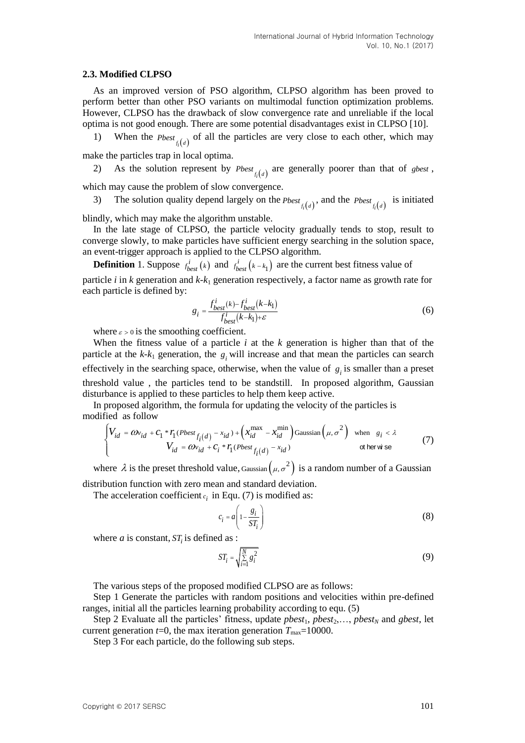#### **2.3. Modified CLPSO**

As an improved version of PSO algorithm, CLPSO algorithm has been proved to perform better than other PSO variants on multimodal function optimization problems. However, CLPSO has the drawback of slow convergence rate and unreliable if the local optima is not good enough. There are some potential disadvantages exist in CLPSO [10].

1) When the  $Pbest_{f_i(d)}$  of all the particles are very close to each other, which may

make the particles trap in local optima.

2) As the solution represent by  $Pbest_{f_i(d)}$  are generally poorer than that of *gbest*,

which may cause the problem of slow convergence.

3) The solution quality depend largely on the *Pbest*  $f_i(d)$ , and the *Pbest*  $f_i(d)$  is initiated

blindly, which may make the algorithm unstable.

In the late stage of CLPSO, the particle velocity gradually tends to stop, result to converge slowly, to make particles have sufficient energy searching in the solution space, an event-trigger approach is applied to the CLPSO algorithm.

**Definition** 1. Suppose  $f_{best}^i(k)$  and  $f_{best}^i(k - k_1)$  are the current best fitness value of particle *i* in *k* generation and *k-k*<sup>1</sup> generation respectively, a factor name as growth rate for each particle is defined by:

$$
g_i = \frac{f_{best}^i(k) - f_{best}^i(k - k_1)}{f_{best}^i(k - k_1) + \varepsilon}
$$
(6)

where  $\varepsilon > 0$  is the smoothing coefficient.

When the fitness value of a particle  $i$  at the  $k$  generation is higher than that of the particle at the  $k-k_1$  generation, the  $g_i$  will increase and that mean the particles can search effectively in the searching space, otherwise, when the value of  $g_i$  is smaller than a preset threshold value , the particles tend to be standstill. In proposed algorithm, Gaussian disturbance is applied to these particles to help them keep active.

In proposed algorithm, the formula for updating the velocity of the particles is diffed as follow<br>diffed as follow<br> $\begin{cases} V_{id} = \omega_{id} + c_1 * r_1 (Pbest_{f_i(d)} - x_{id}) + \left(x_{id}^{max} - x_{id}^{min}\right)$  Gaussian  $\left(\mu, \sigma^2\right)$  when  $g_i < \lambda$ modified as follow

$$
\begin{cases}\nV_{id} = \omega_{id} + c_1 * r_1 (Pbest_{f_i(d)} - x_{id}) + \left(x_{id}^{\max} - x_{id}^{\min}\right) \text{Gaussian}\left(\mu, \sigma^2\right) & \text{when } g_i < \lambda \\
V_{id} = \omega_{id} + c_i * r_1 (Pbest_{f_i(d)} - x_{id}) & \text{otherwise}\n\end{cases} (7)
$$

where  $\lambda$  is the preset threshold value, Gaussian  $(\mu, \sigma^2)$  is a random number of a Gaussian distribution function with zero mean and standard deviation.

The acceleration coefficient  $c_i$  in Equ. (7) is modified as:

$$
c_i = a \left( 1 - \frac{g_i}{ST_i} \right) \tag{8}
$$

where *a* is constant,  $ST<sub>i</sub>$  is defined as :

$$
ST_i = \sqrt{\sum_{i=1}^{N} g_i^2}
$$
 (9)

The various steps of the proposed modified CLPSO are as follows:

Step 1 Generate the particles with random positions and velocities within pre-defined ranges, initial all the particles learning probability according to equ. (5)

Step 2 Evaluate all the particles' fitness, update  $pbest_1, pbest_2, \ldots, pbest_N$  and *gbest*, let current generation  $t=0$ , the max iteration generation  $T_{\text{max}}=10000$ .

Step 3 For each particle, do the following sub steps.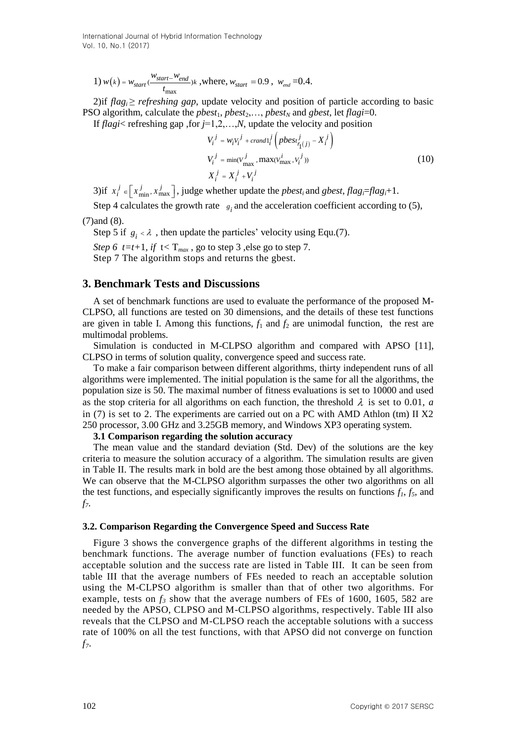1) 
$$
w(k) = w_{start} \cdot \frac{w_{start} - w_{end}}{t_{max}}
$$
, where,  $w_{start} = 0.9$ ,  $w_{end} = 0.4$ .

2)if  $flag_i \geq referching$  gap, update velocity and position of particle according to basic PSO algorithm, calculate the  $pbest_1$ ,  $pbest_2$ ,...,  $pbest_N$  and  $qbest$ , let  $flagi=0$ .

If *flagi*< refreshing gap ,for *j*=1,2,…,*N*, update the velocity and position

$$
V_i^j = w_i v_i^j + \text{crand} \, l_i^j \left( \text{pbest}_{r_1(j)}^j - X_i^j \right)
$$
  
\n
$$
V_i^j = \min(V_{\text{max}}^j, \max(V_{\text{max}}^i, v_i^j))
$$
  
\n
$$
X_i^j = X_i^j + V_i^j
$$
 (10)

3)if  $x_i^j \in \left[x_{\min}^j, x_{\max}^j\right]$ , judge whether update the *pbest<sub>i</sub>* and *gbest*, *flag*<sup>*i*</sup>=*flag<sub><i>i*</sub>+1.

Step 4 calculates the growth rate  $s_i$  and the acceleration coefficient according to (5),

(7)and (8).

Step 5 if  $g_i \le \lambda$ , then update the particles' velocity using Equ.(7). *Step 6 t=t+1, if*  $t < T_{max}$ , go to step 3, else go to step 7. Step 7 The algorithm stops and returns the gbest.

# **3. Benchmark Tests and Discussions**

A set of benchmark functions are used to evaluate the performance of the proposed M-CLPSO, all functions are tested on 30 dimensions, and the details of these test functions are given in table I. Among this functions,  $f_1$  and  $f_2$  are unimodal function, the rest are multimodal problems.

Simulation is conducted in M-CLPSO algorithm and compared with APSO [11], CLPSO in terms of solution quality, convergence speed and success rate.

To make a fair comparison between different algorithms, thirty independent runs of all algorithms were implemented. The initial population is the same for all the algorithms, the population size is 50. The maximal number of fitness evaluations is set to 10000 and used as the stop criteria for all algorithms on each function, the threshold  $\lambda$  is set to 0.01, *a* in  $(7)$  is set to 2. The experiments are carried out on a PC with AMD Athlon (tm) II X2 250 processor, 3.00 GHz and 3.25GB memory, and Windows XP3 operating system.

## **3.1 Comparison regarding the solution accuracy**

The mean value and the standard deviation (Std. Dev) of the solutions are the key criteria to measure the solution accuracy of a algorithm. The simulation results are given in Table II. The results mark in bold are the best among those obtained by all algorithms. We can observe that the M-CLPSO algorithm surpasses the other two algorithms on all the test functions, and especially significantly improves the results on functions  $f_1$ ,  $f_5$ , and *f7*.

### **3.2. Comparison Regarding the Convergence Speed and Success Rate**

Figure 3 shows the convergence graphs of the different algorithms in testing the benchmark functions. The average number of function evaluations (FEs) to reach acceptable solution and the success rate are listed in Table III. It can be seen from table III that the average numbers of FEs needed to reach an acceptable solution using the M-CLPSO algorithm is smaller than that of other two algorithms. For example, tests on  $f_3$  show that the average numbers of FEs of 1600, 1605, 582 are needed by the APSO, CLPSO and M-CLPSO algorithms, respectively. Table III also reveals that the CLPSO and M-CLPSO reach the acceptable solutions with a success rate of 100% on all the test functions, with that APSO did not converge on function *f7*.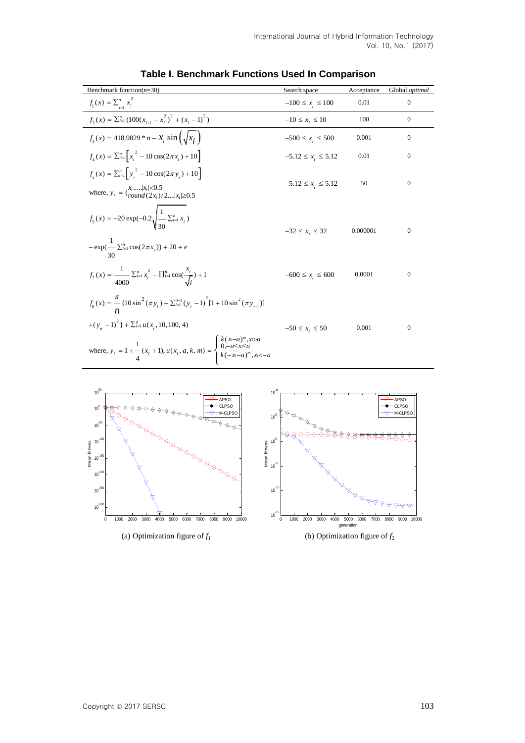| Benchmark function(n=30)                                                                                                                           | Search space             | Acceptance | Global optimal   |
|----------------------------------------------------------------------------------------------------------------------------------------------------|--------------------------|------------|------------------|
| $f_1(x) = \sum_{i=1}^{n} x_i^2$                                                                                                                    | $-100 \le x_i \le 100$   | 0.01       | $\overline{0}$   |
| $f_2(x) = \sum_{i=1}^n (100(x_{i+1} - x_i^2)^2 + (x_i - 1)^2)$                                                                                     | $-10 \le x_i \le 10$     | 100        | $\mathbf{0}$     |
| $f_3(x) = 418.9829 * n - X_i \sin(\sqrt{x_i})$                                                                                                     | $-500 \le x_i \le 500$   | 0.001      | $\mathbf{0}$     |
| $f_{i}(x) = \sum_{i=1}^{n} \left[x_{i}^{2} - 10\cos(2\pi x_{i}) + 10\right]$                                                                       | $-5.12 \le x_i \le 5.12$ | 0.01       | $\overline{0}$   |
| $f_5(x) = \sum_{i=1}^{n} \left[ y_i^2 - 10 \cos(2\pi y_i) + 10 \right]$                                                                            |                          |            |                  |
| where, $y_i = \begin{cases} x_i, \dots,  x_i  \le 0.5 \\ round(2x_i)/2, \dots,  x_i  \ge 0.5 \end{cases}$                                          | $-5.12 \le x_i \le 5.12$ | 50         | $\mathbf{0}$     |
| $f_5(x) = -20 \exp(-0.2 \sqrt{\frac{1}{30} \sum_{i=1}^{n} x_i})$<br>$-\exp(-\sum_{i=1}^{n}\cos(2\pi x_i))+20+e$                                    | $-32 \le x_i \le 32$     | 0.000001   | $\mathbf{0}$     |
| $f_{7}(x) = \frac{1}{4000} \sum_{i=1}^{n} x_{i}^{2} - \prod_{i=1}^{n} \cos(\frac{x_{i}}{\sqrt{i}}) + 1$                                            | $-600 \le x_i \le 600$   | 0.0001     | $\mathbf{0}$     |
| $f_8(x) = -\frac{\pi}{4} [10 \sin^2(\pi y_1) + \sum_{i=1}^{n-1} (y_i - 1)^2 [1 + 10 \sin^2(\pi y_{i+1})]$                                          |                          |            |                  |
| $+(y_n - 1)^2 + \sum_{i=1}^n u(x_i, 10, 100, 4)$                                                                                                   | $-50 \le x_i \le 50$     | 0.001      | $\boldsymbol{0}$ |
| where, $y_i = 1 + \frac{1}{4}(x_i + 1), u(x_i, a, k, m) = \begin{cases} k(x-a)^m, & x > a \\ 0, -a \le x \le a \\ k(-x-a)^m, & x < -a \end{cases}$ |                          |            |                  |

# **Table I. Benchmark Functions Used In Comparison**

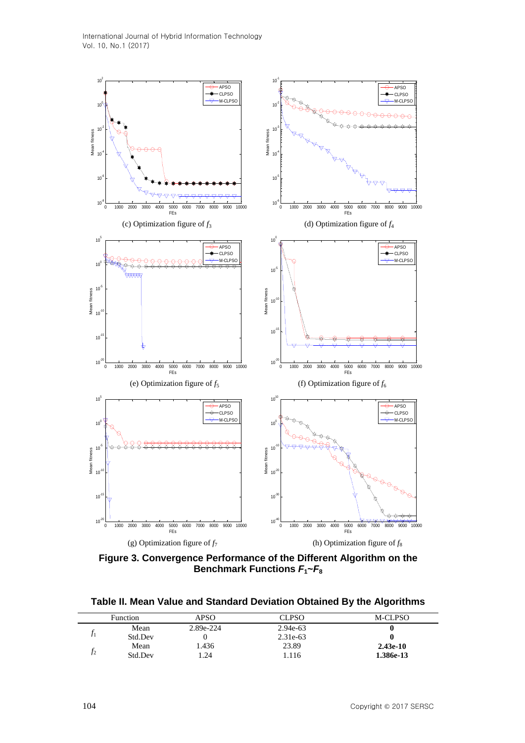International Journal of Hybrid Information Technology Vol. 10, No.1 (2017)



**Figure 3. Convergence Performance of the Different Algorithm on the Benchmark Functions** *F***1~***F***<sup>8</sup>**

**Table II. Mean Value and Standard Deviation Obtained By the Algorithms** 

| Function | APSO      | <b>CLPSO</b> | M-CLPSO    |
|----------|-----------|--------------|------------|
| Mean     | 2.89e-224 | 2.94e-63     |            |
| Std.Dev  |           | 2.31e-63     |            |
| Mean     | .436      | 23.89        | $2.43e-10$ |
| Std.Dev  | 1.24      | 1.116        | 1.386e-13  |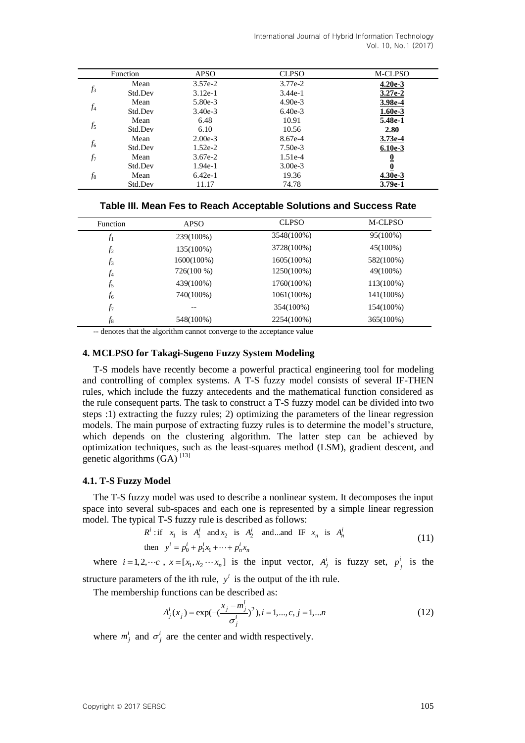|       | Function | <b>APSO</b> | <b>CLPSO</b> | M-CLPSO   |
|-------|----------|-------------|--------------|-----------|
|       | Mean     | $3.57e-2$   | 3.77e-2      | $4.20e-3$ |
| $f_3$ | Std.Dev  | $3.12e-1$   | $3.44e-1$    | $3.27e-2$ |
|       | Mean     | 5.80e-3     | $4.90e-3$    | 3.98e-4   |
| $f_4$ | Std.Dev  | $3.40e-3$   | $6.40e-3$    | $1.60e-3$ |
|       | Mean     | 6.48        | 10.91        | 5.48e-1   |
| $f_5$ | Std.Dev  | 6.10        | 10.56        | 2.80      |
|       | Mean     | $2.00e-3$   | 8.67e-4      | $3.73e-4$ |
| $f_6$ | Std.Dev  | $1.52e-2$   | $7.50e-3$    | $6.10e-3$ |
| $f_7$ | Mean     | $3.67e-2$   | $1.51e-4$    | 0         |
|       | Std.Dev  | $1.94e-1$   | $3.00e-3$    | 0         |
| $f_8$ | Mean     | $6.42e-1$   | 19.36        | $4.30e-3$ |
|       | Std.Dev  | 11.17       | 74.78        | $3.79e-1$ |

|  |  |  | Table III. Mean Fes to Reach Acceptable Solutions and Success Rate |  |  |
|--|--|--|--------------------------------------------------------------------|--|--|
|--|--|--|--------------------------------------------------------------------|--|--|

| Function       | <b>APSO</b> | <b>CLPSO</b>  | M-CLPSO   |
|----------------|-------------|---------------|-----------|
| $f_1$          | 239(100%)   | 3548(100%)    | 95(100%)  |
| f <sub>2</sub> | 135(100%)   | 3728(100%)    | 45(100%)  |
| $f_3$          | 1600(100%)  | 1605(100%)    | 582(100%) |
| $f_4$          | 726(100 %)  | 1250(100%)    | 49(100%)  |
| $f_5$          | 439(100%)   | 1760(100%)    | 113(100%) |
| $f_6$          | 740(100%)   | $1061(100\%)$ | 141(100%) |
| $f_7$          | --          | 354(100%)     | 154(100%) |
| $f_8$          | 548(100%)   | 2254(100%)    | 365(100%) |

-- denotes that the algorithm cannot converge to the acceptance value

## **4. MCLPSO for Takagi-Sugeno Fuzzy System Modeling**

T-S models have recently become a powerful practical engineering tool for modeling and controlling of complex systems. A T-S fuzzy model consists of several IF-THEN rules, which include the fuzzy antecedents and the mathematical function considered as the rule consequent parts. The task to construct a T-S fuzzy model can be divided into two steps :1) extracting the fuzzy rules; 2) optimizing the parameters of the linear regression models. The main purpose of extracting fuzzy rules is to determine the model's structure, which depends on the clustering algorithm. The latter step can be achieved by optimization techniques, such as the least-squares method (LSM), gradient descent, and genetic algorithms  $(GA)$ <sup>[13]</sup>

#### **4.1. T-S Fuzzy Model**

The T-S fuzzy model was used to describe a nonlinear system. It decomposes the input space into several sub-spaces and each one is represented by a simple linear regression model. The typical T-S fuzzy rule is described as follows:<br>  $R^i$ : if  $x_1$  is  $A_1^i$  and  $x_2$  is  $A_2^i$  and ...and IF  $x_n$  is  $A_n^i$ 

$$
Ri : if x1 is Aii and x2 is A2i and ... and IF xn is Ani
$$
  
then 
$$
yi = p0i + p1ix1 + \dots + pnixn
$$
 (11)

where  $i = 1, 2, \dots, c$ ,  $x = [x_1, x_2, \dots, x_n]$  is the input vector,  $A^i_j$  is fuzzy set,  $p^i_j$  $p^i$  is the

structure parameters of the ith rule,  $y^i$  is the output of the ith rule.

The membership functions can be described as:<br> $A^i(x) = \exp(-\frac{x_j - m^i_j}{2})$ 

$$
A_j^i(x_j) = \exp(-\left(\frac{x_j - m_j^i}{\sigma_j^i}\right)^2), i = 1, ..., c, j = 1, ...n
$$
\n(12)

where  $m_j^i$  and  $\sigma_j^i$  are the center and width respectively.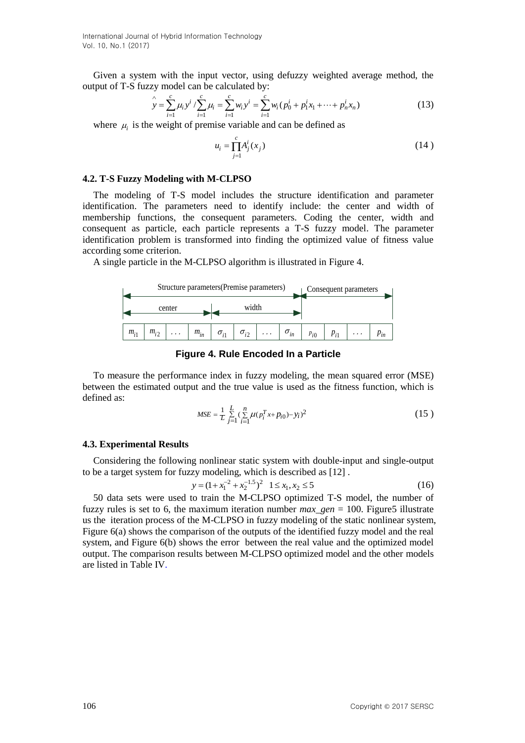Given a system with the input vector, using defuzzy weighted average method, the tput of T-S fuzzy model can be calculated by:<br>  $\hat{y} = \sum_{i=1}^{c} \mu_i y^i / \sum_{i=1}^{c} \mu_i = \sum_{i=1}^{c} w_i y^i = \sum_{i=1}^{c} w_i (p_0^i + p_1^i x_1 + \dots + p_n^i x_n)$ 

output of T-S fuzzy model can be calculated by:  
\n
$$
\hat{y} = \sum_{i=1}^{c} \mu_i y^i / \sum_{i=1}^{c} \mu_i = \sum_{i=1}^{c} w_i y^i = \sum_{i=1}^{c} w_i (p_0^i + p_1^i x_1 + \dots + p_n^i x_n)
$$
\n(13)

where  $\mu_i$  is the weight of premise variable and can be defined as

$$
u_i = \prod_{j=1}^{c} A_j^i(x_j)
$$
 (14)

### **4.2. T-S Fuzzy Modeling with M-CLPSO**

The modeling of T-S model includes the structure identification and parameter identification. The parameters need to identify include: the center and width of membership functions, the consequent parameters. Coding the center, width and consequent as particle, each particle represents a T-S fuzzy model. The parameter identification problem is transformed into finding the optimized value of fitness value according some criterion.

A single particle in the M-CLPSO algorithm is illustrated in Figure 4.



**Figure 4. Rule Encoded In a Particle**

To measure the performance index in fuzzy modeling, the mean squared error (MSE) between the estimated output and the true value is used as the fitness function, which is defined as:

$$
MSE = \frac{1}{L} \sum_{j=1}^{L} \left( \sum_{i=1}^{n} \mu(p_i^T x + p_{i0}) - y_i \right)^2
$$
 (15)

#### **4.3. Experimental Results**

Considering the following nonlinear static system with double-input and single-output to be a target system for fuzzy modeling, which is described as [12].<br>  $y = (1 + x_1^{-2} + x_2^{-1.5})^2 \quad 1 \le x_1, x_2 \le 5$  (16)

$$
y = (1 + x_1^{-2} + x_2^{-1.5})^2 \quad 1 \le x_1, x_2 \le 5 \tag{16}
$$

50 data sets were used to train the M-CLPSO optimized T-S model, the number of fuzzy rules is set to 6, the maximum iteration number  $max\_gen = 100$ . Figure 5 illustrate us the iteration process of the M-CLPSO in fuzzy modeling of the static nonlinear system, Figure 6(a) shows the comparison of the outputs of the identified fuzzy model and the real system, and Figure 6(b) shows the error between the real value and the optimized model output. The comparison results between M-CLPSO optimized model and the other models are listed in Table IV.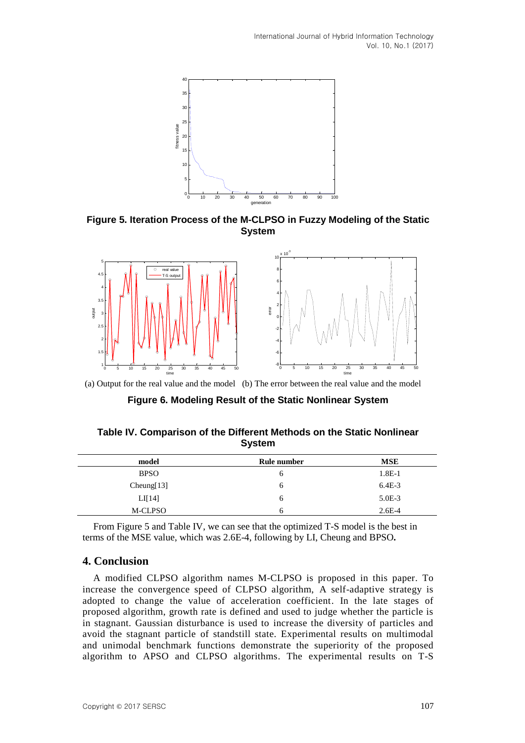

**Figure 5. Iteration Process of the M-CLPSO in Fuzzy Modeling of the Static System**



(a) Output for the real value and the model (b) The error between the real value and the model

**Figure 6. Modeling Result of the Static Nonlinear System** 

| Table IV. Comparison of the Different Methods on the Static Nonlinear |
|-----------------------------------------------------------------------|
| <b>System</b>                                                         |

| model       | Rule number | <b>MSE</b> |
|-------------|-------------|------------|
| <b>BPSO</b> | O           | $1.8E-1$   |
| Cheung[13]  | O           | $6.4E-3$   |
| LI[14]      | O           | $5.0E-3$   |
| M-CLPSO     | h           | $2.6E-4$   |

From Figure 5 and Table IV, we can see that the optimized T-S model is the best in terms of the MSE value, which was 2.6E-4, following by LI, Cheung and BPSO**.**

## **4. Conclusion**

A modified CLPSO algorithm names M-CLPSO is proposed in this paper. To increase the convergence speed of CLPSO algorithm, A self-adaptive strategy is adopted to change the value of acceleration coefficient. In the late stages of proposed algorithm, growth rate is defined and used to judge whether the particle is in stagnant. Gaussian disturbance is used to increase the diversity of particles and avoid the stagnant particle of standstill state. Experimental results on multimodal and unimodal benchmark functions demonstrate the superiority of the proposed algorithm to APSO and CLPSO algorithms. The experimental results on T-S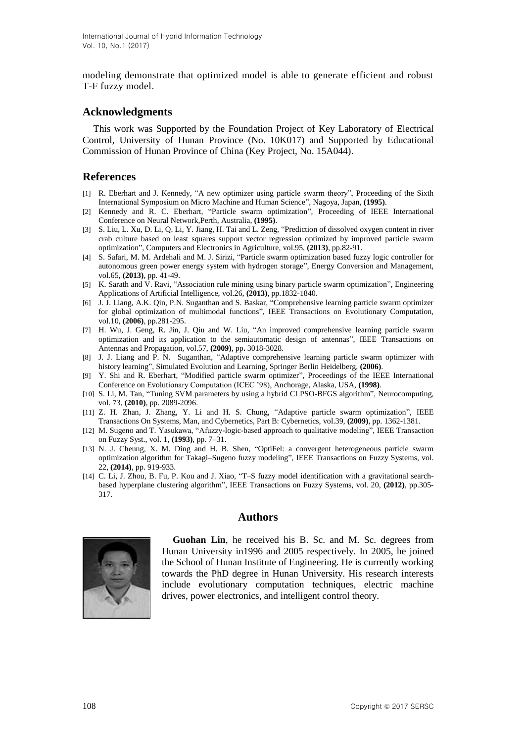modeling demonstrate that optimized model is able to generate efficient and robust T-F fuzzy model.

# **Acknowledgments**

This work was Supported by the Foundation Project of Key Laboratory of Electrical Control, University of Hunan Province (No. 10K017) and Supported by Educational Commission of Hunan Province of China (Key Project, No. 15A044).

# **References**

- [1] R. Eberhart and J. Kennedy, "A new optimizer using particle swarm theory", Proceeding of the Sixth International Symposium on Micro Machine and Human Science", Nagoya, Japan, **(1995)**.
- [2] Kennedy and R. C. Eberhart, "Particle swarm optimization", Proceeding of IEEE International Conference on Neural Network,Perth, Australia, **(1995)**.
- [3] S. Liu, L. Xu, D. Li, Q. Li, Y. Jiang, H. Tai and L. Zeng, "Prediction of dissolved oxygen content in river crab culture based on least squares support vector regression optimized by improved particle swarm optimization", Computers and Electronics in Agriculture, vol.95, **(2013)**, pp.82-91.
- [4] S. Safari, M. M. Ardehali and M. J. Sirizi, "Particle swarm optimization based fuzzy logic controller for autonomous green power energy system with hydrogen storage", Energy Conversion and Management, vol.65, **(2013)**, pp. 41-49.
- [5] K. Sarath and V. Ravi, "Association rule mining using binary particle swarm optimization", Engineering Applications of Artificial Intelligence, vol.26, **(2013)**, pp.1832-1840.
- [6] J. J. Liang, A.K. Qin, P.N. Suganthan and S. Baskar, "Comprehensive learning particle swarm optimizer for global optimization of multimodal functions", IEEE Transactions on Evolutionary Computation, vol.10, **(2006)**, pp.281-295.
- [7] H. Wu, J. Geng, R. Jin, J. Qiu and W. Liu, "An improved comprehensive learning particle swarm optimization and its application to the semiautomatic design of antennas", IEEE Transactions on Antennas and Propagation, vol.57, **(2009)**, pp**.** 3018-3028.
- [8] J. J. Liang and P. N. Suganthan, "Adaptive comprehensive learning particle swarm optimizer with history learning", Simulated Evolution and Learning, Springer Berlin Heidelberg, **(2006)**.
- [9] Y. Shi and R. Eberhart, "Modified particle swarm optimizer", Proceedings of the IEEE International Conference on Evolutionary Computation (ICEC '98), Anchorage, Alaska, USA, **(1998)**.
- [10] S. Li, M. Tan, "Tuning SVM parameters by using a hybrid CLPSO-BFGS algorithm", Neurocomputing, vol. 73, **(2010)**, pp. 2089-2096.
- [11] Z. H. Zhan, J. Zhang, Y. Li and H. S. Chung, "Adaptive particle swarm optimization", IEEE Transactions On Systems, Man, and Cybernetics, Part B: Cybernetics, vol.39, **(2009)**, pp. 1362-1381.
- [12] M. Sugeno and T. Yasukawa, "Afuzzy-logic-based approach to qualitative modeling", IEEE Transaction on Fuzzy Syst., vol. 1, **(1993)**, pp. 7–31.
- [13] N. J. Cheung, X. M. Ding and H. B. Shen, "OptiFel: a convergent heterogeneous particle swarm optimization algorithm for Takagi–Sugeno fuzzy modeling", IEEE Transactions on Fuzzy Systems, vol. 22, **(2014)**, pp. 919-933.
- [14] C. Li, J. Zhou, B. Fu, P. Kou and J. Xiao, "T–S fuzzy model identification with a gravitational searchbased hyperplane clustering algorithm", IEEE Transactions on Fuzzy Systems, vol. 20, **(2012)**, pp.305- 317.

# **Authors**



**Guohan Lin**, he received his B. Sc. and M. Sc. degrees from Hunan University in1996 and 2005 respectively. In 2005, he joined the School of Hunan Institute of Engineering. He is currently working towards the PhD degree in Hunan University. His research interests include evolutionary computation techniques, electric machine drives, power electronics, and intelligent control theory.